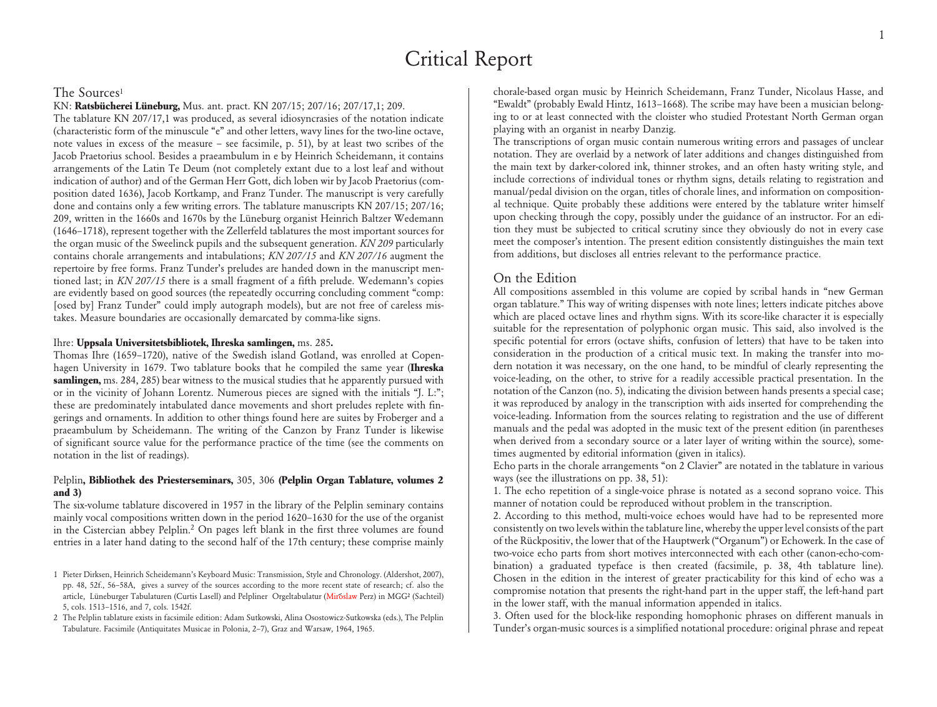# Critical Report

## The Sources<sup>1</sup>

KN: **Ratsbücherei Lüneburg,** Mus. ant. pract. KN 207/15; 207/16; 207/17,1; 209.

The tablature KN 207/17,1 was produced, as several idiosyncrasies of the notation indicate (characteristic form of the minuscule "e" and other letters, wavy lines for the two-line octave, note values in excess of the measure – see facsimile, p. 51), by at least two scribes of the Jacob Praetorius school. Besides a praeambulum in e by Heinrich Scheidemann, it contains arrangements of the Latin Te Deum (not completely extant due to a lost leaf and without indication of author) and of the German Herr Gott, dich loben wir by Jacob Praetorius (composition dated 1636), Jacob Kortkamp, and Franz Tunder. The manuscript is very carefully done and contains only a few writing errors. The tablature manuscripts KN 207/15; 207/16; 209, written in the 1660s and 1670s by the Lüneburg organist Heinrich Baltzer Wedemann (1646–1718), represent together with the Zellerfeld tablatures the most important sources for the organ music of the Sweelinck pupils and the subsequent generation. *KN 209* particularly contains chorale arrangements and intabulations; *KN 207/15* and *KN 207/16* augment the repertoire by free forms. Franz Tunder's preludes are handed down in the manuscript mentioned last; in *KN 207/15* there is a small fragment of a fifth prelude. Wedemann's copies are evidently based on good sources (the repeatedly occurring concluding comment "comp: [osed by] Franz Tunder" could imply autograph models), but are not free of careless mistakes. Measure boundaries are occasionally demarcated by comma-like signs.

## Ihre: **Uppsala Universitetsbibliotek, Ihreska samlingen,** ms. 285**.**

Thomas Ihre (1659–1720), native of the Swedish island Gotland, was enrolled at Copenhagen University in 1679. Two tablature books that he compiled the same year (**Ihreska samlingen,** ms. 284, 285) bear witness to the musical studies that he apparently pursued with or in the vicinity of Johann Lorentz. Numerous pieces are signed with the initials "J. L:"; these are predominately intabulated dance movements and short preludes replete with fingerings and ornaments. In addition to other things found here are suites by Froberger and a praeambulum by Scheidemann. The writing of the Canzon by Franz Tunder is likewise of significant source value for the performance practice of the time (see the comments on notation in the list of readings).

## Pelplin**, Bibliothek des Priesterseminars,** 305, 306 **(Pelplin Organ Tablature, volumes 2 and 3)**

The six-volume tablature discovered in 1957 in the library of the Pelplin seminary contains mainly vocal compositions written down in the period 1620–1630 for the use of the organist in the Cistercian abbey Pelplin.2 On pages left blank in the first three volumes are found entries in a later hand dating to the second half of the 17th century; these comprise mainly

chorale-based organ music by Heinrich Scheidemann, Franz Tunder, Nicolaus Hasse, and "Ewaldt" (probably Ewald Hintz, 1613–1668). The scribe may have been a musician belonging to or at least connected with the cloister who studied Protestant North German organ playing with an organist in nearby Danzig.

The transcriptions of organ music contain numerous writing errors and passages of unclear notation. They are overlaid by a network of later additions and changes distinguished from the main text by darker-colored ink, thinner strokes, and an often hasty writing style, and include corrections of individual tones or rhythm signs, details relating to registration and manual/pedal division on the organ, titles of chorale lines, and information on compositional technique. Quite probably these additions were entered by the tablature writer himself upon checking through the copy, possibly under the guidance of an instructor. For an edition they must be subjected to critical scrutiny since they obviously do not in every case meet the composer's intention. The present edition consistently distinguishes the main text from additions, but discloses all entries relevant to the performance practice.

# On the Edition

All compositions assembled in this volume are copied by scribal hands in "new German organ tablature." This way of writing dispenses with note lines; letters indicate pitches above which are placed octave lines and rhythm signs. With its score-like character it is especially suitable for the representation of polyphonic organ music. This said, also involved is the specific potential for errors (octave shifts, confusion of letters) that have to be taken into consideration in the production of a critical music text. In making the transfer into modern notation it was necessary, on the one hand, to be mindful of clearly representing the voice-leading, on the other, to strive for a readily accessible practical presentation. In the notation of the Canzon (no. 5), indicating the division between hands presents a special case; it was reproduced by analogy in the transcription with aids inserted for comprehending the voice-leading. Information from the sources relating to registration and the use of different manuals and the pedal was adopted in the music text of the present edition (in parentheses when derived from a secondary source or a later layer of writing within the source), sometimes augmented by editorial information (given in italics).

Echo parts in the chorale arrangements "on 2 Clavier" are notated in the tablature in various ways (see the illustrations on pp. 38, 51):

1. The echo repetition of a single-voice phrase is notated as a second soprano voice. This manner of notation could be reproduced without problem in the transcription.

2. According to this method, multi-voice echoes would have had to be represented more consistently on two levels within the tablature line, whereby the upper level consists of the part of the Rückpositiv, the lower that of the Hauptwerk ("Organum") or Echowerk. In the case of two-voice echo parts from short motives interconnected with each other (canon-echo-combination) a graduated typeface is then created (facsimile, p. 38, 4th tablature line). Chosen in the edition in the interest of greater practicability for this kind of echo was a compromise notation that presents the right-hand part in the upper staff, the left-hand part in the lower staff, with the manual information appended in italics.

3. Often used for the block-like responding homophonic phrases on different manuals in Tunder's organ-music sources is a simplified notational procedure: original phrase and repeat

<sup>1</sup> Pieter Dirksen, Heinrich Scheidemann's Keyboard Music: Transmission, Style and Chronology. (Aldershot, 2007), pp. 48, 52f., 56–58A, gives a survey of the sources according to the more recent state of research; cf. also the article, Lüneburger Tabulaturen (Curtis Lasell) and Pelpliner Orgeltabulatur (Miroslaw Perz) in MGG² (Sachteil) 5, cols. 1513–1516, and 7, cols. 1542f.

<sup>2</sup> The Pelplin tablature exists in facsimile edition: Adam Sutkowski, Alina Osostowicz-Sutkowska (eds.), The Pelplin Tabulature. Facsimile (Antiquitates Musicae in Polonia, 2–7), Graz and Warsaw, 1964, 1965.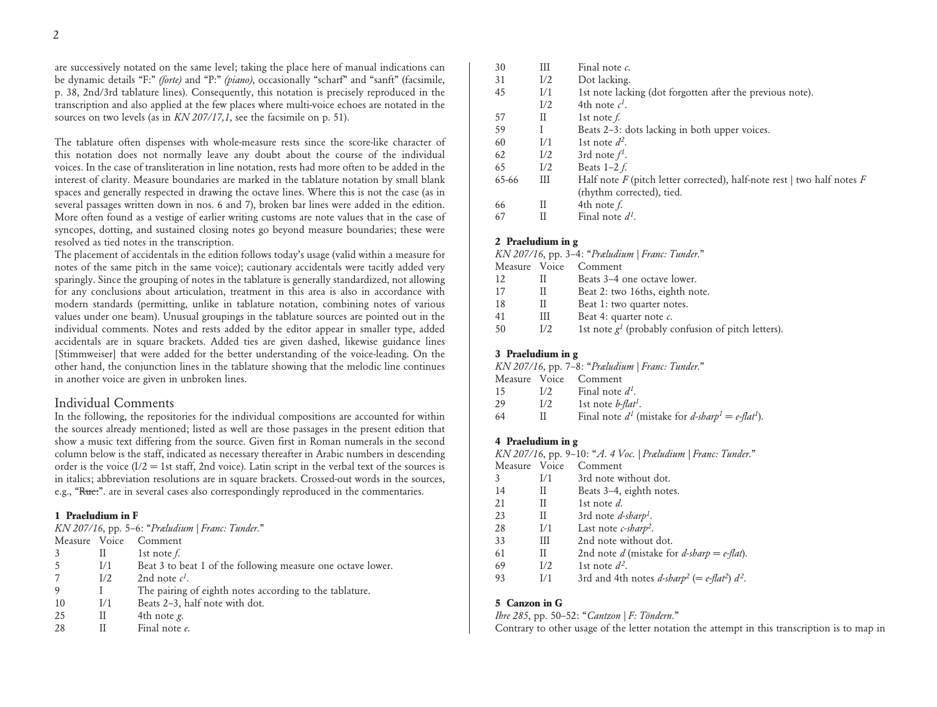are successively notated on the same level; taking the place here of manual indications can be dynamic details "F:" *(forte)* and "P:" *(piano)*, occasionally "scharf" and "sanft" (facsimile, p. 38, 2nd/3rd tablature lines). Consequently, this notation is precisely reproduced in the transcription and also applied at the few places where multi-voice echoes are notated in the sources on two levels (as in *KN 207/17,1*, see the facsimile on p. 51).

The tablature often dispenses with whole-measure rests since the score-like character of this notation does not normally leave any doubt about the course of the individual voices. In the case of transliteration in line notation, rests had more often to be added in the interest of clarity. Measure boundaries are marked in the tablature notation by small blank spaces and generally respected in drawing the octave lines. Where this is not the case (as in several passages written down in nos. 6 and 7), broken bar lines were added in the edition. More often found as a vestige of earlier writing customs are note values that in the case of syncopes, dotting, and sustained closing notes go beyond measure boundaries; these were resolved as tied notes in the transcription.

The placement of accidentals in the edition follows today's usage (valid within a measure for notes of the same pitch in the same voice); cautionary accidentals were tacitly added very sparingly. Since the grouping of notes in the tablature is generally standardized, not allowing for any conclusions about articulation, treatment in this area is also in accordance with modern standards (permitting, unlike in tablature notation, combining notes of various values under one beam). Unusual groupings in the tablature sources are pointed out in the individual comments. Notes and rests added by the editor appear in smaller type, added accidentals are in square brackets. Added ties are given dashed, likewise guidance lines [Stimmweiser] that were added for the better understanding of the voice-leading. On the other hand, the conjunction lines in the tablature showing that the melodic line continues in another voice are given in unbroken lines.

# Individual Comments

In the following, the repositories for the individual compositions are accounted for within the sources already mentioned; listed as well are those passages in the present edition that show a music text differing from the source. Given first in Roman numerals in the second column below is the staff, indicated as necessary thereafter in Arabic numbers in descending order is the voice  $(I/2 = 1$ st staff, 2nd voice). Latin script in the verbal text of the sources is in italics; abbreviation resolutions are in square brackets. Crossed-out words in the sources, e.g., "Ruc:". are in several cases also correspondingly reproduced in the commentaries.

### **1 Praeludium in F**

*KN 207/16*, pp. 5–6: "*Præludium | Franc: Tunder.*"

| Measure Voice |     | Comment                                                     |
|---------------|-----|-------------------------------------------------------------|
|               | H   | 1st note $f$ .                                              |
|               | 1/1 | Beat 3 to beat 1 of the following measure one octave lower. |
|               | I/2 | 2nd note $c^l$ .                                            |
|               |     | The pairing of eighth notes according to the tablature.     |
| 10            | I/1 | Beats 2–3, half note with dot.                              |
| 25            | Н   | 4th note <i>g</i> .                                         |
| 28            | н   | Final note e.                                               |

| 30    | Ш   | Final note $c$ .                                                            |
|-------|-----|-----------------------------------------------------------------------------|
| 31    | I/2 | Dot lacking.                                                                |
| 45    | I/1 | 1st note lacking (dot forgotten after the previous note).                   |
|       | I/2 | 4th note $c^I$ .                                                            |
| 57    | П   | 1st note $f$ .                                                              |
| 59    |     | Beats 2-3: dots lacking in both upper voices.                               |
| 60    | I/1 | 1st note $d^2$ .                                                            |
| 62    | I/2 | 3rd note $f^1$ .                                                            |
| 65    | I/2 | Beats $1-2f$ .                                                              |
| 65-66 | Ш   | Half note $F$ (pitch letter corrected), half-note rest   two half notes $F$ |
|       |     | (rhythm corrected), tied.                                                   |
| 66    | Н   | 4th note f.                                                                 |
| 67    | Н   | Final note $d^I$                                                            |

### **2 Praeludium in g**

| $KN$ 207/16, pp. 3–4: "Præludium   Franc: Tunder." |     |                                                      |  |  |
|----------------------------------------------------|-----|------------------------------------------------------|--|--|
|                                                    |     | Measure Voice Comment                                |  |  |
| 12                                                 |     | Beats 3–4 one octave lower.                          |  |  |
| 17                                                 |     | Beat 2: two 16ths, eighth note.                      |  |  |
| 18                                                 |     | Beat 1: two quarter notes.                           |  |  |
| 41                                                 | Ш   | Beat 4: quarter note $c$ .                           |  |  |
| 50                                                 | 1/2 | 1st note $g1$ (probably confusion of pitch letters). |  |  |

# **3 Praeludium in g**

*KN 207/16*, pp. 7–8: "*Præludium | Franc: Tunder.*"

|    |              | Measure Voice Comment                                                       |
|----|--------------|-----------------------------------------------------------------------------|
| 15 | 1/2          | Final note $d^{\prime}$ .                                                   |
| 29 | 1/2          | 1st note <i>b-flat<sup>1</sup></i> .                                        |
| 64 | $\mathbf{H}$ | Final note $d^1$ (mistake for d-sharp <sup>1</sup> = e-flat <sup>1</sup> ). |

### **4 Praeludium in g**

*KN 207/16*, pp. 9–10: "*A. 4 Voc. | Præludium | Franc: Tunder.*"

- Measure Voice Comment
- 3 I/1 3rd note without dot.
- 14 II Beats 3–4, eighth notes.
- 21 II 1st note *d*.
- 23 II 3rd note *d-sharp<sup>1</sup>*.
- 28 I/1 Last note *c-sharp2*.
- 33 III 2nd note without dot.
- 61 II 2nd note *d* (mistake for *d-sharp* =  $e$ -*flat*).
- 69  $I/2$  1st note  $d^2$ .
- 93 I/1 3rd and 4th notes  $d\text{-}sharp^2$  (=  $e\text{-}flat^2$ )  $d^2$ .

#### **5 Canzon in G**

*Ihre 285*, pp. 50–52: "*Cantzon | F: Töndern.*"

Contrary to other usage of the letter notation the attempt in this transcription is to map in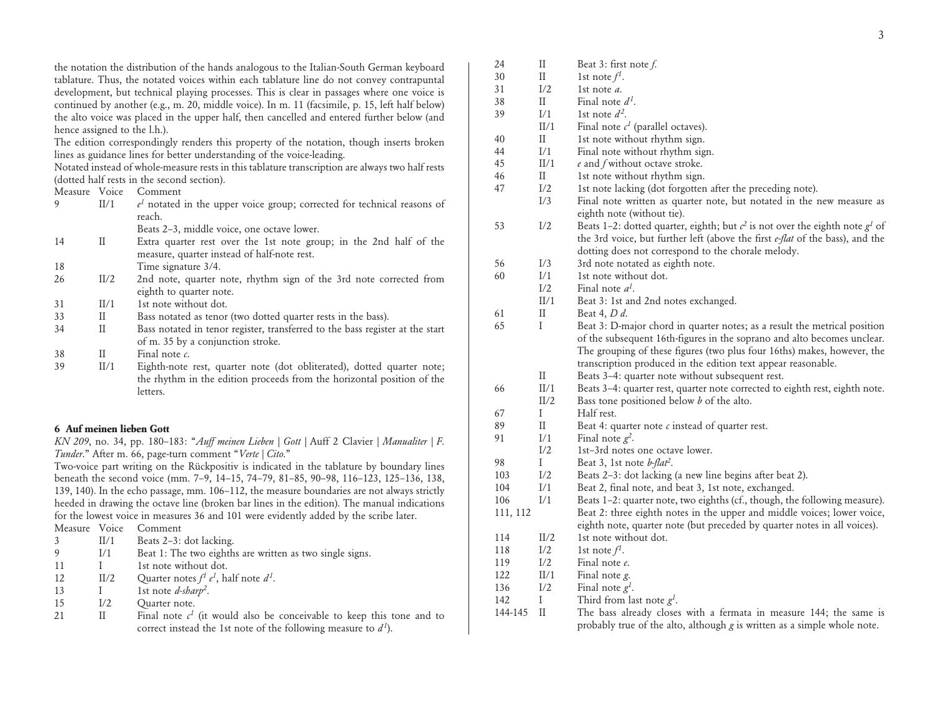the notation the distribution of the hands analogous to the Italian-South German keyboard tablature. Thus, the notated voices within each tablature line do not convey contrapuntal development, but technical playing processes. This is clear in passages where one voice is continued by another (e.g., m. 20, middle voice). In m. 11 (facsimile, p. 15, left half below) the alto voice was placed in the upper half, then cancelled and entered further below (and hence assigned to the l.h.).

The edition correspondingly renders this property of the notation, though inserts broken lines as guidance lines for better understanding of the voice-leading.

Notated instead of whole-measure rests in this tablature transcription are always two half rests (dotted half rests in the second section).

| Measure  | Voice  | Comment    |
|----------|--------|------------|
| $\Omega$ | TT / 1 | notated is |

|  | $e^{1}$ notated in the upper voice group; corrected for technical reasons of |
|--|------------------------------------------------------------------------------|
|  | reach.                                                                       |
|  | Beats 2–3, middle voice, one octave lower.                                   |

- 14 II Extra quarter rest over the 1st note group; in the 2nd half of the measure, quarter instead of half-note rest.
- 18 Time signature 3/4.
- 26 II/2 2nd note, quarter note, rhythm sign of the 3rd note corrected from eighth to quarter note.
- 31 II/1 1st note without dot.
- 33 II Bass notated as tenor (two dotted quarter rests in the bass).
- 34 II Bass notated in tenor register, transferred to the bass register at the start of m. 35 by a conjunction stroke.
- 38 II Final note *c*.
- 39 II/1 Eighth-note rest, quarter note (dot obliterated), dotted quarter note; the rhythm in the edition proceeds from the horizontal position of the **letters**

# **6 Auf meinen lieben Gott**

*KN 209*, no. 34, pp. 180–183: "*Auff meinen Lieben | Gott |* Auff 2 Clavier *| Manualiter | F. Tunder.*" After m. 66, page-turn comment "*Verte | Cito.*"

Two-voice part writing on the Rückpositiv is indicated in the tablature by boundary lines beneath the second voice (mm. 7–9, 14–15, 74–79, 81–85, 90–98, 116–123, 125–136, 138, 139, 140). In the echo passage, mm. 106–112, the measure boundaries are not always strictly heeded in drawing the octave line (broken bar lines in the edition). The manual indications for the lowest voice in measures 36 and 101 were evidently added by the scribe later.

| Measure<br>Voice | Comment |
|------------------|---------|
|------------------|---------|

| II/1 | Beats 2-3: dot lacking. |
|------|-------------------------|
|      |                         |

- I/1 Beat 1: The two eighths are written as two single signs. 11 I 1st note without dot.
- 
- 12 II/2 Quarter notes  $f^1 e^1$ , half note  $d^1$ .
- 13 I 1st note *d-sharp<sup>2</sup>*.
- 15 I/2 Quarter note.
- 21 II Final note  $c<sup>1</sup>$  (it would also be conceivable to keep this tone and to correct instead the 1st note of the following measure to  $d^1$ ).

| 24       | $\mathop{\mathrm{II}}$ | Beat 3: first note $f$ .                                                          |
|----------|------------------------|-----------------------------------------------------------------------------------|
| 30       | $_{\rm II}$            | 1st note $f^1$ .                                                                  |
| 31       | I/2                    | 1st note <i>a</i> .                                                               |
| 38       | П                      | Final note d <sup>1</sup> .                                                       |
| 39       | $\rm I/1$              | 1st note $d^2$ .                                                                  |
|          | II/1                   | Final note $c1$ (parallel octaves).                                               |
| 40       | $_{\rm II}$            | 1st note without rhythm sign.                                                     |
| 44       | I/1                    | Final note without rhythm sign.                                                   |
| 45       | II/1                   | $e$ and $f$ without octave stroke.                                                |
| 46       | П                      | 1st note without rhythm sign.                                                     |
| 47       | I/2                    | 1st note lacking (dot forgotten after the preceding note).                        |
|          | I/3                    | Final note written as quarter note, but notated in the new measure as             |
|          |                        | eighth note (without tie).                                                        |
| 53       | I/2                    | Beats 1-2: dotted quarter, eighth; but $c^2$ is not over the eighth note $g^1$ of |
|          |                        | the 3rd voice, but further left (above the first e-flat of the bass), and the     |
|          |                        | dotting does not correspond to the chorale melody.                                |
| 56       | I/3                    | 3rd note notated as eighth note.                                                  |
| 60       | I/1                    | 1st note without dot.                                                             |
|          | I/2                    | Final note $a^1$ .                                                                |
|          | II/1                   | Beat 3: 1st and 2nd notes exchanged.                                              |
| 61       | П                      | Beat 4, <i>D d</i> .                                                              |
| 65       | Ι                      | Beat 3: D-major chord in quarter notes; as a result the metrical position         |
|          |                        | of the subsequent 16th-figures in the soprano and alto becomes unclear.           |
|          |                        | The grouping of these figures (two plus four 16ths) makes, however, the           |
|          |                        | transcription produced in the edition text appear reasonable.                     |
|          | $_{\rm II}$            | Beats 3-4: quarter note without subsequent rest.                                  |
| 66       | II/1                   | Beats 3-4: quarter rest, quarter note corrected to eighth rest, eighth note.      |
|          | II/2                   | Bass tone positioned below <i>b</i> of the alto.                                  |
| 67       | I                      | Half rest.                                                                        |
| 89       | $_{\rm II}$            | Beat 4: quarter note $c$ instead of quarter rest.                                 |
| 91       | I/1                    | Final note $g^2$ .                                                                |
|          | I/2                    | 1st-3rd notes one octave lower.                                                   |
| 98       | I                      | Beat 3, 1st note <i>b-flat<sup>2</sup></i> .                                      |
| 103      | I/2                    | Beats 2-3: dot lacking (a new line begins after beat 2).                          |
| 104      | I/1                    | Beat 2, final note, and beat 3, 1st note, exchanged.                              |
| 106      | I/1                    | Beats 1-2: quarter note, two eighths (cf., though, the following measure).        |
| 111, 112 |                        | Beat 2: three eighth notes in the upper and middle voices; lower voice,           |
|          |                        | eighth note, quarter note (but preceded by quarter notes in all voices).          |
| 114      | II/2                   | 1st note without dot.                                                             |
| 118      | I/2                    | 1st note $f^1$ .                                                                  |
| 119      | I/2                    | Final note e.                                                                     |
| 122      | II/1                   | Final note g.                                                                     |
| 136      | I/2                    | Final note $g^1$ .                                                                |
| 142      | Ι                      | Third from last note $g1$ .                                                       |
|          | <b>TT</b>              | $1.1 - 1.0$<br>$\sim$<br>1 4 4                                                    |

144-145 II The bass already closes with a fermata in measure 144; the same is probably true of the alto, although *g* is written as a simple whole note.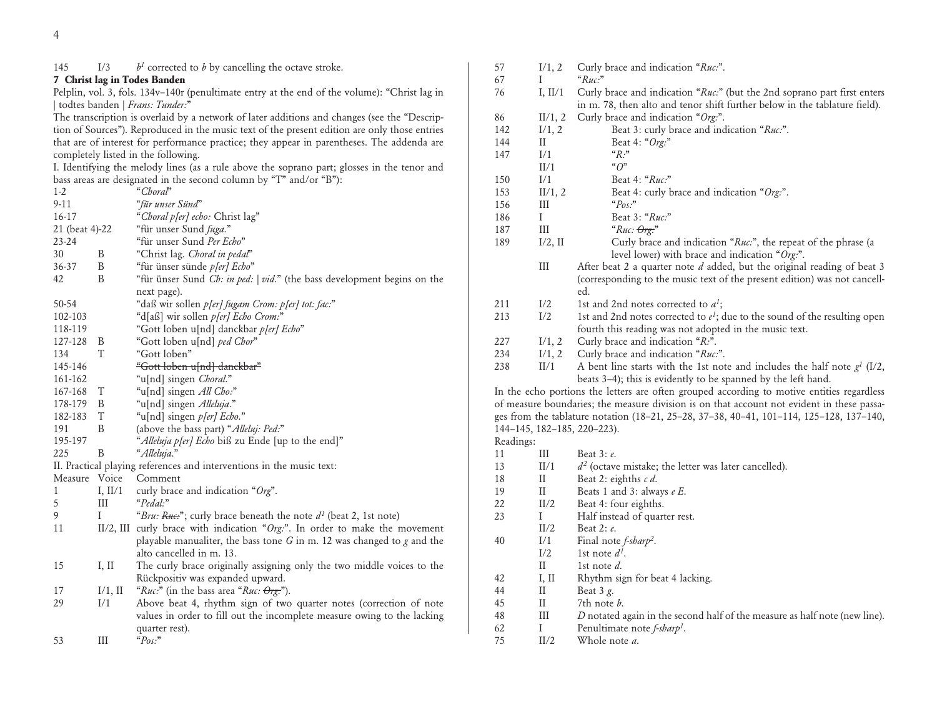# 145 I/3  $b<sup>1</sup>$  corrected to *b* by cancelling the octave stroke.

# **7 Christ lag in Todes Banden**

Pelplin, vol. 3, fols. 134v–140r (penultimate entry at the end of the volume): "Christ lag in | todtes banden | *Frans: Tunder:*"

The transcription is overlaid by a network of later additions and changes (see the "Description of Sources"). Reproduced in the music text of the present edition are only those entries that are of interest for performance practice; they appear in parentheses. The addenda are completely listed in the following.

I. Identifying the melody lines (as a rule above the soprano part; glosses in the tenor and bass areas are designated in the second column by "T" and/or "B"):

| $1 - 2$        |            | "Choral"                                                                        |
|----------------|------------|---------------------------------------------------------------------------------|
| $9-11$         |            | "für unser Sünd"                                                                |
| 16-17          |            | "Choral p[er] echo: Christ lag"                                                 |
| 21 (beat 4)-22 |            | "für unser Sund fuga."                                                          |
| 23-24          |            | "für unser Sund Per Echo"                                                       |
| 30             | B          | "Christ lag. Choral in pedal"                                                   |
| 36-37          | B          | "für ünser sünde p[er] Echo"                                                    |
| 42             | B          | "für ünser Sund Ch: in ped:   vid." (the bass development begins on the         |
|                |            | next page).                                                                     |
| 50-54          |            | "daß wir sollen p[er] fugam Crom: p[er] tot: fac:"                              |
| 102-103        |            | "d[aß] wir sollen p[er] Echo Crom:"                                             |
| 118-119        |            | "Gott loben u[nd] danckbar p[er] Echo"                                          |
| 127-128        | B          | "Gott loben u[nd] ped Chor"                                                     |
| 134            | T          | "Gott loben"                                                                    |
| 145-146        |            | <del>"Gott loben u[nd] danckbar"</del>                                          |
| 161-162        |            | "u[nd] singen Choral."                                                          |
| 167-168        | T          | "u[nd] singen All Cho:"                                                         |
| 178-179        | B          | "u[nd] singen Alleluja."                                                        |
| 182-183        | T          | "u[nd] singen p[er] Echo."                                                      |
| 191            | B          | (above the bass part) "Alleluj: Ped:"                                           |
| 195-197        |            | "Alleluja p[er] Echo biß zu Ende [up to the end]"                               |
| 225            | B          | "Alleluja."                                                                     |
|                |            | II. Practical playing references and interventions in the music text:           |
| Measure        | Voice      | Comment                                                                         |
| 1              | I, $II/1$  | curly brace and indication "Org".                                               |
| 5              | Ш          | "Pedal:"                                                                        |
| 9              | I          | "Bru: Ruc:"; curly brace beneath the note d <sup>1</sup> (beat 2, 1st note)     |
| 11             |            | II/2, III curly brace with indication " $Org:$ ". In order to make the movement |
|                |            | playable manualiter, the bass tone $G$ in m. 12 was changed to $g$ and the      |
|                |            | alto cancelled in m. 13.                                                        |
| 15             | I, II      | The curly brace originally assigning only the two middle voices to the          |
|                |            | Rückpositiv was expanded upward.                                                |
| 17             | $I/1$ , II | "Ruc:" (in the bass area "Ruc: Org:").                                          |
| 29             | I/1        | Above beat 4, rhythm sign of two quarter notes (correction of note              |
|                |            | values in order to fill out the incomplete measure owing to the lacking         |
|                |            | quarter rest).                                                                  |
| 53             | III        | " $Pos$ "                                                                       |

| 57        | I/1, 2       | Curly brace and indication "Ruc:".                                                                                                                                                                                                                                                                                                                                                                                                                                |
|-----------|--------------|-------------------------------------------------------------------------------------------------------------------------------------------------------------------------------------------------------------------------------------------------------------------------------------------------------------------------------------------------------------------------------------------------------------------------------------------------------------------|
| 67        | Ι            | "Ruc."                                                                                                                                                                                                                                                                                                                                                                                                                                                            |
| 76        | I, $II/1$    | Curly brace and indication "Ruc:" (but the 2nd soprano part first enters<br>in m. 78, then alto and tenor shift further below in the tablature field).                                                                                                                                                                                                                                                                                                            |
| 86        | II/1, 2      | Curly brace and indication "Org:".                                                                                                                                                                                                                                                                                                                                                                                                                                |
| 142       | I/1, 2       | Beat 3: curly brace and indication "Ruc:".                                                                                                                                                                                                                                                                                                                                                                                                                        |
| 144       | $\rm II$     | Beat 4: "Org:"                                                                                                                                                                                                                                                                                                                                                                                                                                                    |
| 147       | I/1          | $"R:$ "                                                                                                                                                                                                                                                                                                                                                                                                                                                           |
|           | II/1         | " $O$ "                                                                                                                                                                                                                                                                                                                                                                                                                                                           |
| 150       | I/1          | Beat 4: "Ruc:"                                                                                                                                                                                                                                                                                                                                                                                                                                                    |
| 153       | II/1, 2      | Beat 4: curly brace and indication "Org:".                                                                                                                                                                                                                                                                                                                                                                                                                        |
| 156       | Ш            | " $Pos$ "                                                                                                                                                                                                                                                                                                                                                                                                                                                         |
| 186       | Ι            | Beat 3: "Ruc:"                                                                                                                                                                                                                                                                                                                                                                                                                                                    |
| 187       | Ш            | " $Ruc: \theta$ rg:"                                                                                                                                                                                                                                                                                                                                                                                                                                              |
| 189       | $I/2$ , II   | Curly brace and indication "Ruc:", the repeat of the phrase (a<br>level lower) with brace and indication "Org:".                                                                                                                                                                                                                                                                                                                                                  |
|           | Ш            | After beat 2 a quarter note $d$ added, but the original reading of beat 3<br>(corresponding to the music text of the present edition) was not cancell-                                                                                                                                                                                                                                                                                                            |
|           |              | ed.                                                                                                                                                                                                                                                                                                                                                                                                                                                               |
| 211       | I/2          | 1st and 2nd notes corrected to $a^1$ ;                                                                                                                                                                                                                                                                                                                                                                                                                            |
| 213       | I/2          | 1st and 2nd notes corrected to $e^1$ ; due to the sound of the resulting open<br>fourth this reading was not adopted in the music text.                                                                                                                                                                                                                                                                                                                           |
| 227       | I/1, 2       | Curly brace and indication "R.".                                                                                                                                                                                                                                                                                                                                                                                                                                  |
| 234       | I/1, 2       | Curly brace and indication "Ruc:".                                                                                                                                                                                                                                                                                                                                                                                                                                |
| 238       | II/1         | A bent line starts with the 1st note and includes the half note $g1$ (I/2,<br>beats 3-4); this is evidently to be spanned by the left hand.<br>In the echo portions the letters are often grouped according to motive entities regardless<br>of measure boundaries; the measure division is on that account not evident in these passa-<br>ges from the tablature notation (18-21, 25-28, 37-38, 40-41, 101-114, 125-128, 137-140,<br>144-145, 182-185, 220-223). |
| Readings: |              |                                                                                                                                                                                                                                                                                                                                                                                                                                                                   |
| 11        | Ш            | Beat 3: e.                                                                                                                                                                                                                                                                                                                                                                                                                                                        |
| 13        | II/1         | $d^2$ (octave mistake; the letter was later cancelled).                                                                                                                                                                                                                                                                                                                                                                                                           |
| 18        | П            | Beat 2: eighths c d.                                                                                                                                                                                                                                                                                                                                                                                                                                              |
| 19        | $\rm II$     | Beats 1 and 3: always $eE$ .                                                                                                                                                                                                                                                                                                                                                                                                                                      |
| 22        | II/2         | Beat 4: four eighths.                                                                                                                                                                                                                                                                                                                                                                                                                                             |
| 23        | Ι            | Half instead of quarter rest.                                                                                                                                                                                                                                                                                                                                                                                                                                     |
|           | II/2         | Beat 2: e.                                                                                                                                                                                                                                                                                                                                                                                                                                                        |
| 40        | I/1          | Final note <i>f-sharp<sup>2</sup></i> .                                                                                                                                                                                                                                                                                                                                                                                                                           |
|           | I/2          | 1st note $d^1$ .                                                                                                                                                                                                                                                                                                                                                                                                                                                  |
|           | $\mathbf{I}$ | 1st note d.                                                                                                                                                                                                                                                                                                                                                                                                                                                       |
| 42        | I, II        | Rhythm sign for beat 4 lacking.                                                                                                                                                                                                                                                                                                                                                                                                                                   |
| 44        | $\rm II$     | Beat $3g$ .                                                                                                                                                                                                                                                                                                                                                                                                                                                       |
| 45        | $\rm II$     | 7th note b.                                                                                                                                                                                                                                                                                                                                                                                                                                                       |
| 48        | Ш            | D notated again in the second half of the measure as half note (new line).                                                                                                                                                                                                                                                                                                                                                                                        |
| 62        | I            | Penultimate note <i>f-sharp<sup>1</sup></i> .                                                                                                                                                                                                                                                                                                                                                                                                                     |
| 75        | II/2         | Whole note a.                                                                                                                                                                                                                                                                                                                                                                                                                                                     |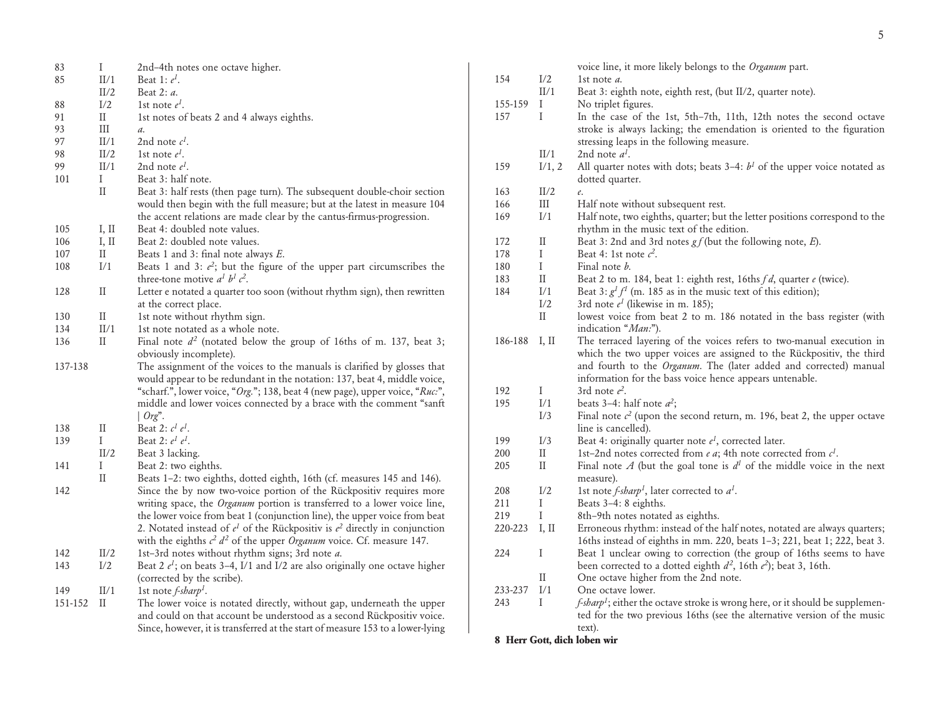| 83      | $\mathbf I$                | 2nd-4th notes one octave higher.                                                |
|---------|----------------------------|---------------------------------------------------------------------------------|
| 85      | II/1                       | Beat 1: $e^I$ .                                                                 |
|         | II/2                       | Beat 2: a.                                                                      |
| 88      | I/2                        | 1st note $e^I$ .                                                                |
| 91      | $\rm{II}$                  | 1st notes of beats 2 and 4 always eighths.                                      |
| 93      | Ш                          | $\mathfrak{a}.$                                                                 |
| 97      | $\rm{II}/1$                | 2nd note $c^I$ .                                                                |
| 98      | II/2                       | 1st note $e^l$ .                                                                |
| 99      | II/1                       | 2nd note $e^I$ .                                                                |
| 101     | I                          | Beat 3: half note.                                                              |
|         | $\rm II$                   | Beat 3: half rests (then page turn). The subsequent double-choir section        |
|         |                            | would then begin with the full measure; but at the latest in measure 104        |
|         |                            | the accent relations are made clear by the cantus-firmus-progression.           |
| 105     | I, II                      | Beat 4: doubled note values.                                                    |
| 106     | I, II                      | Beat 2: doubled note values.                                                    |
| 107     | $_{\rm II}$                | Beats 1 and 3: final note always E.                                             |
| 108     | I/1                        | Beats 1 and 3: $e^2$ ; but the figure of the upper part circumscribes the       |
|         |                            | three-tone motive $a^1 b^1 c^2$ .                                               |
| 128     | $_{\rm II}$                | Letter e notated a quarter too soon (without rhythm sign), then rewritten       |
|         |                            | at the correct place.                                                           |
| 130     | $\rm II$                   | 1st note without rhythm sign.                                                   |
| 134     | II/1                       | 1st note notated as a whole note.                                               |
| 136     | $\mathbf{I}$               | Final note $d^2$ (notated below the group of 16ths of m. 137, beat 3;           |
|         |                            | obviously incomplete).                                                          |
| 137-138 |                            | The assignment of the voices to the manuals is clarified by glosses that        |
|         |                            | would appear to be redundant in the notation: 137, beat 4, middle voice,        |
|         |                            | "scharf.", lower voice, "Org."; 138, beat 4 (new page), upper voice, "Ruc.",    |
|         |                            | middle and lower voices connected by a brace with the comment "sanft            |
|         |                            | $\int$ Org".                                                                    |
| 138     | П                          | Beat 2: $c^I e^I$ .                                                             |
| 139     | I                          | Beat 2: $e^1 e^1$ .                                                             |
|         | II/2                       | Beat 3 lacking.                                                                 |
| 141     | I                          | Beat 2: two eighths.                                                            |
|         | $\mathop{\rm II}\nolimits$ | Beats 1-2: two eighths, dotted eighth, 16th (cf. measures 145 and 146).         |
| 142     |                            | Since the by now two-voice portion of the Rückpositiv requires more             |
|         |                            | writing space, the <i>Organum</i> portion is transferred to a lower voice line, |
|         |                            | the lower voice from beat 1 (conjunction line), the upper voice from beat       |
|         |                            | 2. Notated instead of $e^1$ of the Rückpositiv is $e^2$ directly in conjunction |
|         |                            |                                                                                 |
|         |                            | with the eighths $c^2 d^2$ of the upper <i>Organum</i> voice. Cf. measure 147.  |
| 142     | II/2                       | 1st-3rd notes without rhythm signs; 3rd note a.                                 |
| 143     | I/2                        | Beat 2 $e^1$ ; on beats 3-4, I/1 and I/2 are also originally one octave higher  |
|         |                            | (corrected by the scribe).                                                      |
| 149     | II/1                       | 1st note $f$ -sharp <sup>1</sup> .                                              |
| 151-152 | П                          | The lower voice is notated directly, without gap, underneath the upper          |

and could on that account be understood as a second Rückpositiv voice. Since, however, it is transferred at the start of measure 153 to a lower-lying

|         |             | voice line, it more likely belongs to the Organum part.                                                                                                                                                                                                                        |
|---------|-------------|--------------------------------------------------------------------------------------------------------------------------------------------------------------------------------------------------------------------------------------------------------------------------------|
| 154     | I/2         | 1st note $a$ .                                                                                                                                                                                                                                                                 |
|         | II/1        | Beat 3: eighth note, eighth rest, (but II/2, quarter note).                                                                                                                                                                                                                    |
| 155-159 | I           | No triplet figures.                                                                                                                                                                                                                                                            |
| 157     | Ι           | In the case of the 1st, 5th-7th, 11th, 12th notes the second octave<br>stroke is always lacking; the emendation is oriented to the figuration<br>stressing leaps in the following measure.                                                                                     |
|         | II/1        | 2nd note $a^I$ .                                                                                                                                                                                                                                                               |
| 159     | I/1, 2      | All quarter notes with dots; beats $3-4$ : $b1$ of the upper voice notated as<br>dotted quarter.                                                                                                                                                                               |
| 163     | II/2        | e.                                                                                                                                                                                                                                                                             |
| 166     | III         | Half note without subsequent rest.                                                                                                                                                                                                                                             |
| 169     | I/1         | Half note, two eighths, quarter; but the letter positions correspond to the<br>rhythm in the music text of the edition.                                                                                                                                                        |
| 172     | П           | Beat 3: 2nd and 3rd notes $gf$ (but the following note, $E$ ).                                                                                                                                                                                                                 |
| 178     | I           | Beat 4: 1st note $c^2$ .                                                                                                                                                                                                                                                       |
| 180     | I           | Final note <i>b</i> .                                                                                                                                                                                                                                                          |
| 183     | $\rm II$    | Beat 2 to m. 184, beat 1: eighth rest, 16ths $fd$ , quarter $e$ (twice).                                                                                                                                                                                                       |
| 184     | I/1         | Beat 3: $g1f1$ (m. 185 as in the music text of this edition);                                                                                                                                                                                                                  |
|         | I/2         | 3rd note $e^1$ (likewise in m. 185);                                                                                                                                                                                                                                           |
|         | $_{\rm II}$ | lowest voice from beat 2 to m. 186 notated in the bass register (with                                                                                                                                                                                                          |
|         |             | indication "Man:").                                                                                                                                                                                                                                                            |
| 186-188 | I, II       | The terraced layering of the voices refers to two-manual execution in<br>which the two upper voices are assigned to the Rückpositiv, the third<br>and fourth to the Organum. The (later added and corrected) manual<br>information for the bass voice hence appears untenable. |
| 192     | I           | 3rd note $e^2$ .                                                                                                                                                                                                                                                               |
| 195     | I/1         | beats 3–4: half note $a^2$ ;                                                                                                                                                                                                                                                   |
|         | I/3         | Final note $c^2$ (upon the second return, m. 196, beat 2, the upper octave<br>line is cancelled).                                                                                                                                                                              |
| 199     | I/3         | Beat 4: originally quarter note $e^{1}$ , corrected later.                                                                                                                                                                                                                     |
| 200     | П           | 1st-2nd notes corrected from e a; 4th note corrected from $c^1$ .                                                                                                                                                                                                              |
| 205     | $_{\rm II}$ | Final note $A$ (but the goal tone is $d1$ of the middle voice in the next                                                                                                                                                                                                      |
|         |             | measure).                                                                                                                                                                                                                                                                      |
| 208     | I/2         | 1st note <i>f-sharp<sup>1</sup></i> , later corrected to $a^1$ .                                                                                                                                                                                                               |
| 211     | I           | Beats 3-4: 8 eighths.                                                                                                                                                                                                                                                          |
| 219     | $\rm I$     | 8th-9th notes notated as eighths.                                                                                                                                                                                                                                              |
| 220-223 | I, II       | Erroneous rhythm: instead of the half notes, notated are always quarters;                                                                                                                                                                                                      |
|         |             | 16ths instead of eighths in mm. 220, beats 1-3; 221, beat 1; 222, beat 3.                                                                                                                                                                                                      |
| 224     | I           | Beat 1 unclear owing to correction (the group of 16ths seems to have                                                                                                                                                                                                           |
|         |             | been corrected to a dotted eighth $d^2$ , 16th $e^2$ ); beat 3, 16th.                                                                                                                                                                                                          |
|         | $_{\rm II}$ | One octave higher from the 2nd note.                                                                                                                                                                                                                                           |
| 233-237 | I/1         | One octave lower.                                                                                                                                                                                                                                                              |
| 243     | Ι           | <i>f-sharp<sup>1</sup></i> ; either the octave stroke is wrong here, or it should be supplemen-                                                                                                                                                                                |
|         |             | ted for the two previous 16ths (see the alternative version of the music<br>text).                                                                                                                                                                                             |

#### **8 Herr Gott, dich loben wir**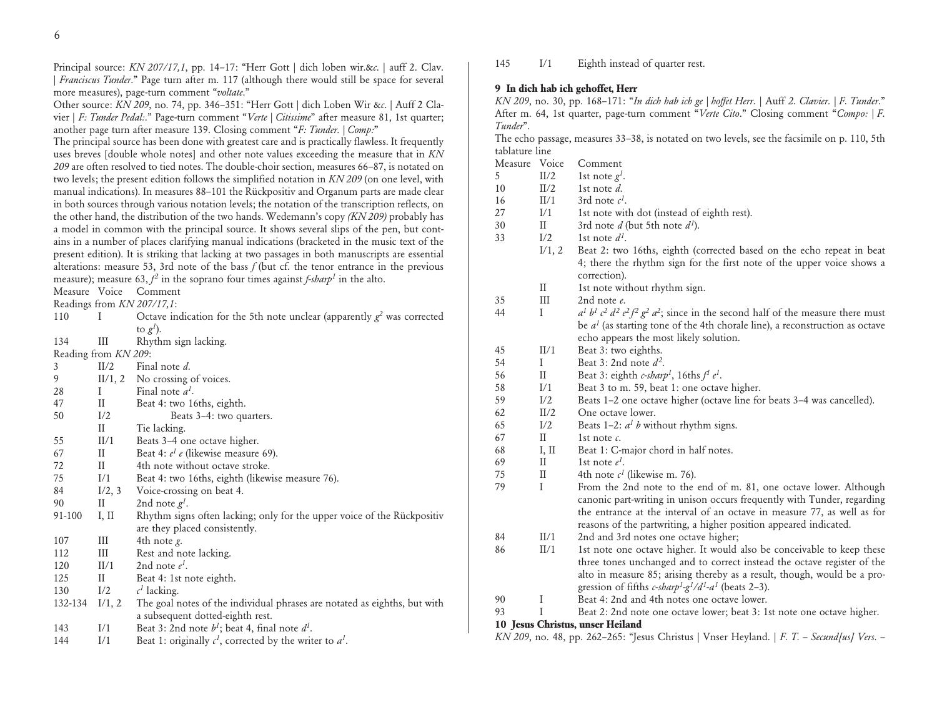Principal source: *KN 207/17,1*, pp. 14–17: "Herr Gott | dich loben wir.&*c*. | auff 2. Clav. | *Franciscus Tunder*." Page turn after m. 117 (although there would still be space for several more measures), page-turn comment "*voltate*."

Other source: *KN 209*, no. 74, pp. 346–351: "Herr Gott | dich Loben Wir &*c*. | Auff 2 Clavier | *F: Tunder Pedal:*." Page-turn comment "*Verte | Citissime*" after measure 81, 1st quarter; another page turn after measure 139. Closing comment "*F: Tunder. | Comp:*"

The principal source has been done with greatest care and is practically flawless. It frequently uses breves [double whole notes] and other note values exceeding the measure that in *KN 209* are often resolved to tied notes. The double-choir section, measures 66–87, is notated on two levels; the present edition follows the simplified notation in *KN 209* (on one level, with manual indications). In measures 88–101 the Rückpositiv and Organum parts are made clear in both sources through various notation levels; the notation of the transcription reflects, on the other hand, the distribution of the two hands. Wedemann's copy *(KN 209)* probably has a model in common with the principal source. It shows several slips of the pen, but contains in a number of places clarifying manual indications (bracketed in the music text of the present edition). It is striking that lacking at two passages in both manuscripts are essential alterations: measure 53, 3rd note of the bass *f* (but cf. the tenor entrance in the previous measure); measure 63,  $f^2$  in the soprano four times against  $f$ -sharp<sup>1</sup> in the alto.

Measure Voice Comment

Readings from *KN 207/17,1*:

| 110    |                      | Octave indication for the 5th note unclear (apparently $g^2$ was corrected |
|--------|----------------------|----------------------------------------------------------------------------|
|        |                      | to $g^{I}$ ).                                                              |
| 134    | Ш                    | Rhythm sign lacking.                                                       |
|        | Reading from KN 209: |                                                                            |
| 3      | II/2                 | Final note d.                                                              |
| 9      | II/1, 2              | No crossing of voices.                                                     |
| 28     |                      | Final note $a^1$ .                                                         |
| 47     | П                    | Beat 4: two 16ths, eighth.                                                 |
| 50     | I/2                  | Beats 3-4: two quarters.                                                   |
|        | П                    | Tie lacking.                                                               |
| 55     | II/1                 | Beats 3–4 one octave higher.                                               |
| 67     | H                    | Beat 4: <i>e<sup>1</sup> e</i> (likewise measure 69).                      |
| 72     | П                    | 4th note without octave stroke.                                            |
| 75     | I/1                  | Beat 4: two 16ths, eighth (likewise measure 76).                           |
| 84     | I/2, 3               | Voice-crossing on beat 4.                                                  |
| 90     | Н                    | 2nd note $g^I$ .                                                           |
| 01.100 | T TT                 | nt die Gitte te die sted net wi                                            |

| 91-100 | L II. | Rhythm signs often lacking; only for the upper voice of the Rückpositiv |
|--------|-------|-------------------------------------------------------------------------|
|        |       | are they placed consistently.                                           |
| 107    |       | 4th note <i>g</i> .                                                     |
| 112    |       | Rest and note lacking.                                                  |

120 II/1 2nd note *e 1*. 125 II Beat 4: 1st note eighth.

- 130 I/2 *c*  $c<sup>1</sup>$  lacking.
- 132-134 I/1, 2 The goal notes of the individual phrases are notated as eighths, but with a subsequent dotted-eighth rest. 143 I/1 Beat 3: 2nd note  $b^1$ ; beat 4, final note  $d^1$ .
- 144 I/1 Beat 1: originally  $c^1$ , corrected by the writer to  $a^1$ .

145 I/1 Eighth instead of quarter rest.

# **9 In dich hab ich gehoffet, Herr**

*KN 209*, no. 30, pp. 168–171: "*In dich hab ich ge | hoffet Herr.* | Auff *2. Clavier. | F. Tunder*." After m. 64, 1st quarter, page-turn comment "*Verte Cito*." Closing comment "*Compo: | F. Tunder*".

The echo passage, measures 33–38, is notated on two levels, see the facsimile on p. 110, 5th tablature line

| Measure Voice |              | Comment                                                                                              |
|---------------|--------------|------------------------------------------------------------------------------------------------------|
| 5             | II/2         | 1st note $g^l$ .                                                                                     |
| 10            | II/2         | 1st note $d$ .                                                                                       |
| 16            | II/1         | 3rd note $c^I$ .                                                                                     |
| 27            | I/1          | 1st note with dot (instead of eighth rest).                                                          |
| 30            | $\rm{II}$    | 3rd note $d$ (but 5th note $d^1$ ).                                                                  |
| 33            | I/2          | 1st note $d^1$ .                                                                                     |
|               | I/1, 2       | Beat 2: two 16ths, eighth (corrected based on the echo repeat in beat                                |
|               |              | 4; there the rhythm sign for the first note of the upper voice shows a                               |
|               |              | correction).                                                                                         |
|               | $\rm II$     | 1st note without rhythm sign.                                                                        |
| 35            | III          | 2nd note $e$ .                                                                                       |
| 44            | $\mathbf I$  | $a^1 b^1 c^2 d^2 e^2 f^2 g^2 a^2$ ; since in the second half of the measure there must               |
|               |              | be $a1$ (as starting tone of the 4th chorale line), a reconstruction as octave                       |
|               |              | echo appears the most likely solution.                                                               |
| 45            | II/1         | Beat 3: two eighths.                                                                                 |
| 54            | I            | Beat 3: 2nd note $d^2$ .                                                                             |
| 56            | $\rm II$     | Beat 3: eighth c-sharp <sup>1</sup> , 16ths $f^1 e^1$ .                                              |
| 58            | I/1          | Beat 3 to m. 59, beat 1: one octave higher.                                                          |
| 59            | I/2          | Beats 1–2 one octave higher (octave line for beats 3–4 was cancelled).                               |
| 62            | II/2         | One octave lower.                                                                                    |
| 65            | I/2          | Beats 1-2: $a1 b$ without rhythm signs.                                                              |
| 67            | $\rm II$     | 1st note $\epsilon$ .                                                                                |
| 68            | I, II        | Beat 1: C-major chord in half notes.                                                                 |
| 69            | $\rm II$     | 1st note $e^l$ .                                                                                     |
| 75            | $\rm II$     | 4th note $c^1$ (likewise m. 76).                                                                     |
| 79            | $\mathbf{I}$ | From the 2nd note to the end of m. 81, one octave lower. Although                                    |
|               |              | canonic part-writing in unison occurs frequently with Tunder, regarding                              |
|               |              | the entrance at the interval of an octave in measure 77, as well as for                              |
|               |              | reasons of the partwriting, a higher position appeared indicated.                                    |
| 84            | II/1         | 2nd and 3rd notes one octave higher;                                                                 |
| 86            | II/1         | 1st note one octave higher. It would also be conceivable to keep these                               |
|               |              | three tones unchanged and to correct instead the octave register of the                              |
|               |              | alto in measure 85; arising thereby as a result, though, would be a pro-                             |
|               |              | gression of fifths c-sharp <sup>1</sup> -g <sup>1</sup> /d <sup>1</sup> -a <sup>1</sup> (beats 2–3). |
| 90            | I            | Beat 4: 2nd and 4th notes one octave lower.                                                          |
| 93            | I            | Beat 2: 2nd note one octave lower; beat 3: 1st note one octave higher.                               |
|               |              | 10 Jesus Christus, unser Heiland                                                                     |
|               |              | KN 209, no. 48, pp. 262-265: "Jesus Christus   Vnser Heyland.   F. T. - Secund[us] Vers. -           |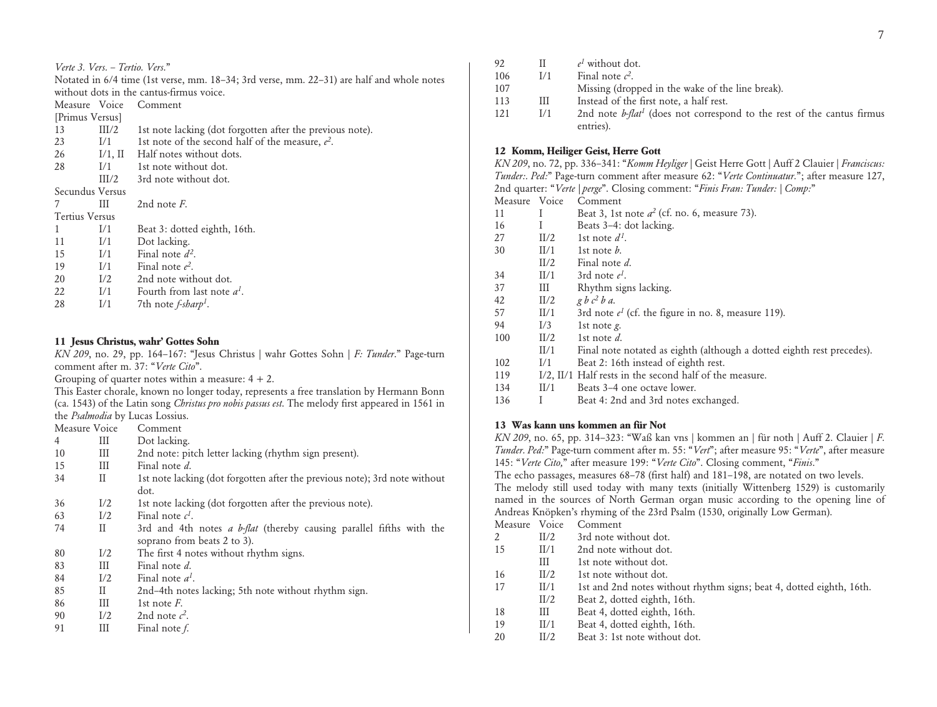|  | Verte 3. Vers. - Tertio. Vers." |  |
|--|---------------------------------|--|
|  |                                 |  |

Notated in 6/4 time (1st verse, mm. 18–34; 3rd verse, mm. 22–31) are half and whole notes without dots in the cantus-firmus voice.

Measure Voice Comment

| [Primus Versus] |         |                                                           |
|-----------------|---------|-----------------------------------------------------------|
| 13              | III/2   | 1st note lacking (dot forgotten after the previous note). |
| 23              | 1/1     | 1st note of the second half of the measure, $e^2$ .       |
| 26              | I/1, II | Half notes without dots.                                  |
| 28              | 1/1     | 1st note without dot.                                     |
|                 | III/2   | 3rd note without dot.                                     |
| Secundus Versus |         |                                                           |
| 7               | Ш       | 2nd note $F$ .                                            |
| Tertius Versus  |         |                                                           |
|                 | 1/1     | Beat 3: dotted eighth, 16th.                              |
| 11              | 1/1     | Dot lacking.                                              |
| 15              | 1/1     | Final note $d^2$ .                                        |
| 19              | 1/1     | Final note $e^2$ .                                        |
| 20              | I/2     | 2nd note without dot.                                     |
| 22              | I/1     | Fourth from last note $a^I$ .                             |
| 28              | I/1     | 7th note $f$ -sharp <sup>1</sup> .                        |

### **11 Jesus Christus, wahr' Gottes Sohn**

*KN 209*, no. 29, pp. 164–167: "Jesus Christus | wahr Gottes Sohn | *F: Tunder*." Page-turn comment after m. 37: "*Verte Cito*".

Grouping of quarter notes within a measure:  $4 + 2$ .

This Easter chorale, known no longer today, represents a free translation by Hermann Bonn (ca. 1543) of the Latin song *Christus pro nobis passus est*. The melody first appeared in 1561 in the *Psalmodia* by Lucas Lossius.

|    | Measure Voice | Comment                                                                     |
|----|---------------|-----------------------------------------------------------------------------|
| 4  | Ш             | Dot lacking.                                                                |
| 10 | Ш             | 2nd note: pitch letter lacking (rhythm sign present).                       |
| 15 | Ш             | Final note d.                                                               |
| 34 | П             | 1st note lacking (dot forgotten after the previous note); 3rd note without  |
|    |               | dot.                                                                        |
| 36 | I/2           | 1st note lacking (dot forgotten after the previous note).                   |
| 63 | I/2           | Final note $c^I$ .                                                          |
| 74 | П             | 3rd and 4th notes <i>a b-flat</i> (thereby causing parallel fifths with the |
|    |               | soprano from beats 2 to 3).                                                 |
| 80 | I/2           | The first 4 notes without rhythm signs.                                     |
| 83 | Ш             | Final note d.                                                               |
| 84 | I/2           | Final note $a^I$ .                                                          |
| 85 | П             | 2nd-4th notes lacking; 5th note without rhythm sign.                        |
| 86 | Ш             | 1st note $F$ .                                                              |
| 90 | I/2           | 2nd note $c^2$ .                                                            |
| 91 | Ш             | Final note f.                                                               |

| 92  |     | $e^{I}$ without dot.                                                               |
|-----|-----|------------------------------------------------------------------------------------|
| 106 | 1/1 | Final note $c^2$ .                                                                 |
| 107 |     | Missing (dropped in the wake of the line break).                                   |
| 113 | Ш   | Instead of the first note, a half rest.                                            |
| 121 | 1/1 | 2nd note b-flat <sup>1</sup> (does not correspond to the rest of the cantus firmus |
|     |     | entries).                                                                          |

## **12 Komm, Heiliger Geist, Herre Gott**

*KN 209*, no. 72, pp. 336–341: "*Komm Heyliger* | Geist Herre Gott | Auff 2 Clauier | *Franciscus: Tunder:. Ped:*" Page-turn comment after measure 62: "*Verte Continuatur.*"; after measure 127, 2nd quarter: "*Verte | perge*". Closing comment: "*Finis Fran: Tunder: | Comp:*"

Measure Voice Comment

| ivicasuic |      | oommun                                                  |
|-----------|------|---------------------------------------------------------|
| 11        | L    | Beat 3, 1st note $a^2$ (cf. no. 6, measure 73).         |
| 16        |      | Beats 3–4: dot lacking.                                 |
| 27        | II/2 | 1st note $d^1$ .                                        |
| 30        | II/1 | 1st note $b$ .                                          |
|           | II/2 | Final note d.                                           |
| 34        | II/1 | 3rd note $e^t$ .                                        |
| 37        | Ш    | Rhythm signs lacking.                                   |
| 42        | II/2 | g b c <sup>2</sup> b a.                                 |
| 57        | II/1 | 3rd note $e^1$ (cf. the figure in no. 8, measure 119).  |
| 94        | I/3  | 1st note $g$ .                                          |
| 100       | II/2 | 1st note $d$ .                                          |
|           | II/1 | Final note notated as eighth (although a dotted eighth  |
| 102       | 1/1  | Beat 2: 16th instead of eighth rest.                    |
| 119       |      | I/2, II/1 Half rests in the second half of the measure. |
|           |      |                                                         |

- 134 II/1 Beats 3–4 one octave lower.
- 136 I Beat 4: 2nd and 3rd notes exchanged.

## **13 Was kann uns kommen an für Not**

*KN 209*, no. 65, pp. 314–323: "Waß kan vns | kommen an | für noth | Auff 2. Clauier | *F. Tunder. Ped:*" Page-turn comment after m. 55: "*Vert*"; after measure 95: "*Verte*", after measure 145: "*Verte Cito,*" after measure 199: "*Verte Cito*". Closing comment, "*Finis*."

The echo passages, measures 68–78 (first half) and 181–198, are notated on two levels. The melody still used today with many texts (initially Wittenberg 1529) is customarily named in the sources of North German organ music according to the opening line of Andreas Knöpken's rhyming of the 23rd Psalm (1530, originally Low German).

Measure Voice Comment

|    | II/2 | 3rd note without dot.                                                |
|----|------|----------------------------------------------------------------------|
| 15 | II/1 | 2nd note without dot.                                                |
|    | Ш    | 1st note without dot.                                                |
| 16 | II/2 | 1st note without dot.                                                |
| 17 | II/1 | 1st and 2nd notes without rhythm signs; beat 4, dotted eighth, 16th. |
|    | II/2 | Beat 2, dotted eighth, 16th.                                         |
| 18 | Ш    | Beat 4, dotted eighth, 16th.                                         |

- 19 II/1 Beat 4, dotted eighth, 16th.
- 20 II/2 Beat 3: 1st note without dot.

rest precedes).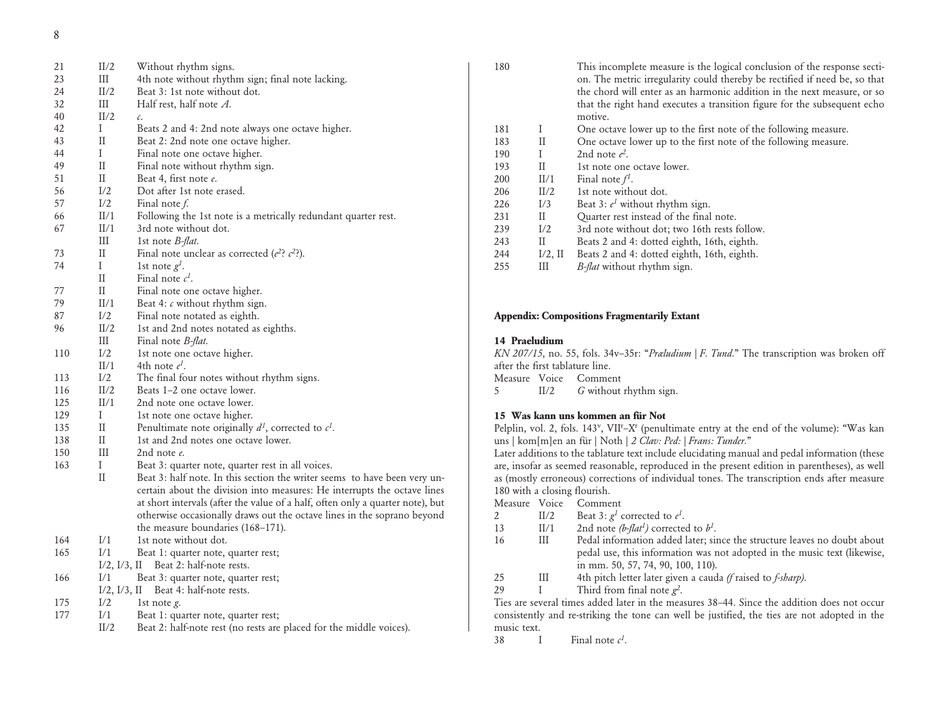8

| 21  | II/2               | Without rhythm signs.                                                          |
|-----|--------------------|--------------------------------------------------------------------------------|
| 23  | III                | 4th note without rhythm sign; final note lacking.                              |
| 24  | II/2               | Beat 3: 1st note without dot.                                                  |
| 32  | Ш                  | Half rest, half note $A$ .                                                     |
| 40  | II/2               | c.                                                                             |
| 42  | I                  | Beats 2 and 4: 2nd note always one octave higher.                              |
| 43  | $_{\rm II}$        | Beat 2: 2nd note one octave higher.                                            |
| 44  | I                  | Final note one octave higher.                                                  |
| 49  | $_{\rm II}$        | Final note without rhythm sign.                                                |
| 51  | $\rm II$           | Beat 4, first note e.                                                          |
| 56  | I/2                | Dot after 1st note erased.                                                     |
| 57  | I/2                | Final note $f$ .                                                               |
| 66  | II/1               | Following the 1st note is a metrically redundant quarter rest.                 |
| 67  | II/1               | 3rd note without dot.                                                          |
|     | Ш                  | 1st note <i>B-flat</i> .                                                       |
| 73  | $\rm II$           | Final note unclear as corrected ( $e^2$ ? $c^2$ ?).                            |
| 74  | I                  | 1st note $g^I$ .                                                               |
|     | $\rm II$           | Final note $c^I$ .                                                             |
| 77  | $\rm II$           | Final note one octave higher.                                                  |
| 79  | II/1               | Beat 4: c without rhythm sign.                                                 |
| 87  | I/2                | Final note notated as eighth.                                                  |
| 96  | II/2               | 1st and 2nd notes notated as eighths.                                          |
|     | Ш                  | Final note <i>B-flat</i> .                                                     |
| 110 | I/2                | 1st note one octave higher.                                                    |
|     | II/1               | 4th note $e^l$ .                                                               |
| 113 | I/2                | The final four notes without rhythm signs.                                     |
| 116 | II/2               | Beats 1–2 one octave lower.                                                    |
| 125 | II/1               | 2nd note one octave lower.                                                     |
| 129 | Ι                  | 1st note one octave higher.                                                    |
| 135 | $_{\rm II}$        | Penultimate note originally $d^1$ , corrected to $c^1$ .                       |
| 138 | $\rm II$           | 1st and 2nd notes one octave lower.                                            |
| 150 | III                | 2nd note e.                                                                    |
| 163 | I                  | Beat 3: quarter note, quarter rest in all voices.                              |
|     | $\rm II$           | Beat 3: half note. In this section the writer seems to have been very un-      |
|     |                    | certain about the division into measures: He interrupts the octave lines       |
|     |                    | at short intervals (after the value of a half, often only a quarter note), but |
|     |                    | otherwise occasionally draws out the octave lines in the soprano beyond        |
|     |                    | the measure boundaries (168–171).                                              |
| 164 | I/1                | 1st note without dot.                                                          |
| 165 | I/1                | Beat 1: quarter note, quarter rest;                                            |
|     | $I/2$ , $I/3$ , II | Beat 2: half-note rests.                                                       |
| 166 | I/1                | Beat 3: quarter note, quarter rest;                                            |
|     | $I/2$ , $I/3$ , II | Beat 4: half-note rests.                                                       |
| 175 | I/2                | 1st note $g$ .                                                                 |
| 177 | I/1                | Beat 1: quarter note, quarter rest;                                            |
|     | II/2               | Beat 2: half-note rest (no rests are placed for the middle voices).            |

| 180 |              | This incomplete measure is the logical conclusion of the response secti-<br>on. The metric irregularity could thereby be rectified if need be, so that<br>the chord will enter as an harmonic addition in the next measure, or so<br>that the right hand executes a transition figure for the subsequent echo<br>motive. |
|-----|--------------|--------------------------------------------------------------------------------------------------------------------------------------------------------------------------------------------------------------------------------------------------------------------------------------------------------------------------|
| 181 | T            | One octave lower up to the first note of the following measure.                                                                                                                                                                                                                                                          |
| 183 | H            | One octave lower up to the first note of the following measure.                                                                                                                                                                                                                                                          |
| 190 | T            | 2nd note $e^2$ .                                                                                                                                                                                                                                                                                                         |
| 193 | $\mathbf{H}$ | 1st note one octave lower.                                                                                                                                                                                                                                                                                               |
| 200 | II/1         | Final note $f^1$ .                                                                                                                                                                                                                                                                                                       |
| 206 | II/2         | 1st note without dot.                                                                                                                                                                                                                                                                                                    |
| 226 | I/3          | Beat 3: $e^1$ without rhythm sign.                                                                                                                                                                                                                                                                                       |
| 231 | H.           | Quarter rest instead of the final note.                                                                                                                                                                                                                                                                                  |
| 239 | I/2          | 3rd note without dot; two 16th rests follow.                                                                                                                                                                                                                                                                             |
| 243 | $\mathbf{H}$ | Beats 2 and 4: dotted eighth, 16th, eighth.                                                                                                                                                                                                                                                                              |
| 244 | $I/2$ , II   | Beats 2 and 4: dotted eighth, 16th, eighth.                                                                                                                                                                                                                                                                              |
| 255 | Ш            | <i>B-flat</i> without rhythm sign.                                                                                                                                                                                                                                                                                       |

### **Appendix: Compositions Fragmentarily Extant**

### **14 Praeludium**

*KN 207/15*, no. 55, fols. 34v–35r: "*Præludium | F. Tund.*" The transcription was broken off after the first tablature line. Measure Voice Comment 5 II/2 *G* without rhythm sign.

### **15 Was kann uns kommen an für Not**

Pelplin, vol. 2, fols. 143<sup>v</sup>, VII<sup>r</sup>-X<sup>r</sup> (penultimate entry at the end of the volume): "Was kan uns | kom[m]en an für | Noth | *2 Clav: Ped: | Frans: Tunder.*"

Later additions to the tablature text include elucidating manual and pedal information (these are, insofar as seemed reasonable, reproduced in the present edition in parentheses), as well as (mostly erroneous) corrections of individual tones. The transcription ends after measure 180 with a closing flourish.

Measure Voice Comment

- 2 II/2 Beat 3:  $g^1$  corrected to  $e^1$ .
- 13 II/1 2nd note  $(b$ -*flat<sup>1</sup>*) corrected to  $b<sup>1</sup>$ .
- 16 III Pedal information added later; since the structure leaves no doubt about pedal use, this information was not adopted in the music text (likewise, in mm. 50, 57, 74, 90, 100, 110).
- 25 III 4th pitch letter later given a cauda *(f* raised to *f-sharp)*.

29 I Third from final note *g2*.

Ties are several times added later in the measures 38–44. Since the addition does not occur consistently and re-striking the tone can well be justified, the ties are not adopted in the music text.

38 I Final note  $c^1$ .